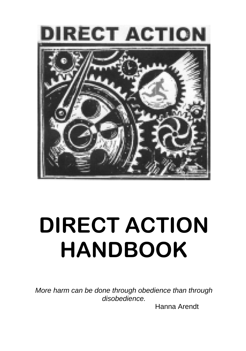

# **DIRECT ACTION HANDBOOK**

*More harm can be done through obedience than through disobedience.* 

Hanna Arendt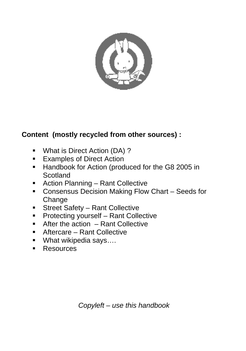

### **Content (mostly recycled from other sources) :**

- What is Direct Action (DA) ?
- **Examples of Direct Action**
- Handbook for Action (produced for the G8 2005 in Scotland
- Action Planning Rant Collective
- **Consensus Decision Making Flow Chart Seeds for** Change
- **Street Safety Rant Collective**
- **Protecting yourself Rant Collective**
- $\blacksquare$  After the action  $-$  Rant Collective
- Aftercare Rant Collective
- What wikipedia says....
- **Resources**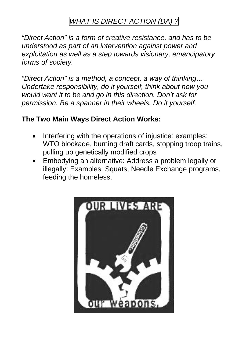### *WHAT IS DIRECT ACTION (DA) ?*

*"Direct Action" is a form of creative resistance, and has to be understood as part of an intervention against power and exploitation as well as a step towards visionary, emancipatory forms of society.* 

*"Direct Action" is a method, a concept, a way of thinking… Undertake responsibility, do it yourself, think about how you would want it to be and go in this direction. Don't ask for permission. Be a spanner in their wheels. Do it yourself.* 

### **The Two Main Ways Direct Action Works:**

- Interfering with the operations of injustice: examples: WTO blockade, burning draft cards, stopping troop trains, pulling up genetically modified crops
- Embodying an alternative: Address a problem legally or illegally: Examples: Squats, Needle Exchange programs, feeding the homeless.

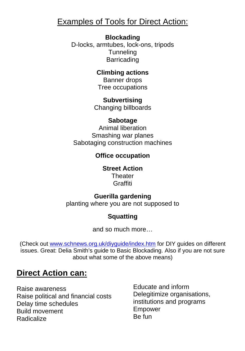### Examples of Tools for Direct Action:

### **Blockading**

D-locks, armtubes, lock-ons, tripods **Tunneling Barricading** 

> **Climbing actions**  Banner drops Tree occupations

**Subvertising**  Changing billboards

### **Sabotage**

Animal liberation Smashing war planes Sabotaging construction machines

### **Office occupation**

**Street Action Theater** Graffiti

### **Guerilla gardening**

planting where you are not supposed to

### **Squatting**

and so much more…

(Check out [www.schnews.org.uk/diyguide/index.htm](http://www.schnews.org.uk/diyguide/index.htm) for DIY guides on different issues. Great: Delia Smith's guide to Basic Blockading. Also if you are not sure about what some of the above means)

### **Direct Action can:**

Raise awareness Raise political and financial costs Delay time schedules Build movement **Radicalize** 

Educate and inform Delegitimize organisations, institutions and programs Empower Be fun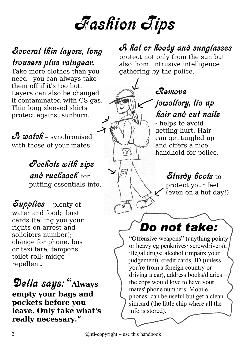# Fashion Tips

### Several thin layers, long trousers plus raingear.

Take more clothes than you need - you can always take them off if it's too hot. Layers can also be changed if contaminated with CS gas. Thin long sleeved shirts protect against sunburn.

 $A$  watch – synchronised with those of your mates.

### Pockets with zips and rucksack for putting essentials into.

Supplies - plenty of water and food; bust cards (telling you your rights on arrest and solicitors number); change for phone, bus or taxi fare; tampons; toilet roll; midge repellent.

Delia says: " **Always empty your bags and pockets before you leave. Only take what's really necessary."**

### A hat or hoody and sunglasses

protect not only from the sun but also from intrusive intelligence gathering by the police.

### Remove jewellery, tie up hair and cut nails

- helps to avoid getting hurt. Hair can get tangled up and offers a nice handhold for police.

### Sturdy boots to

protect your feet (even on a hot day!)

*Do not take:*

"Offensive weapons" (anything pointy or heavy eg penknives/ screwdrivers); illegal drugs; alcohol (impairs your judgement), credit cards, ID (unless you're from a foreign country or driving a car), address books/diaries – the cops would love to have your mates' phone numbers. Mobile phones: can be useful but get a clean simcard (the little chip where all the info is stored).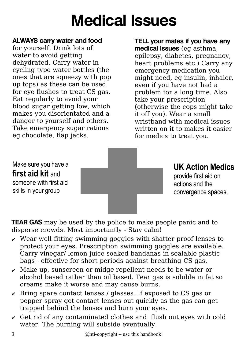# Medical Issues

### ALWAYS carry water and food

for yourself. Drink lots of water to avoid getting dehydrated. Carry water in cycling type water bottles (the ones that are squeezy with pop up tops) as these can be used for eye flushes to treat CS gas. Eat regularly to avoid your blood sugar getting low, which makes you disorientated and a danger to yourself and others. Take emergency sugar rations eg.chocolate, flap jacks.

### TELL your mates if you have any medical issues (eg asthma,

epilepsy, diabetes, pregnancy, heart problems etc.) Carry any emergency medication you might need, eg insulin, inhaler, even if you have not had a problem for a long time. Also take your prescription (otherwise the cops might take it off you). Wear a small wristband with medical issues written on it to makes it easier for medics to treat you.

Make sure you have a **first aid kit** and someone with first aid skills in your group

**UK Action Medics**

provide first aid on actions and the convergence spaces.

**TEAR GAS** may be used by the police to make people panic and to disperse crowds. Most importantly - Stay calm!

- $\vee$  Wear well-fitting swimming goggles with shatter proof lenses to protect your eyes. Prescription swimming goggles are available. Carry vinegar/ lemon juice soaked bandanas in sealable plastic bags - effective for short periods against breathing CS gas.
- $\vee$  Make up, sunscreen or midge repellent needs to be water or alcohol based rather than oil based. Tear gas is soluble in fat so creams make it worse and may cause burns.
- $\overline{\smash{\cdot}}$  Bring spare contact lenses / glasses. If exposed to CS gas or pepper spray get contact lenses out quickly as the gas can get trapped behind the lenses and burn your eyes.
- $\vee$  Get rid of any contaminated clothes and flush out eyes with cold water. The burning will subside eventually.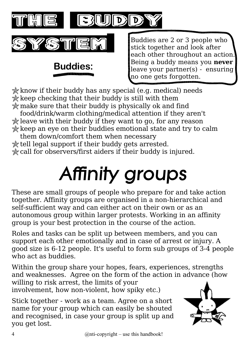

 $\star$  know if their buddy has any special (e.g. medical) needs  $\frac{1}{k}$  keep checking that their buddy is still with them  $\star$  make sure that their buddy is physically ok and find

food/drink/warm clothing/medical attention if they aren't  $\star$  leave with their buddy if they want to go, for any reason  $\star$  keep an eye on their buddies emotional state and try to calm

them down/comfort them when necessary  $\star$  tell legal support if their buddy gets arrested. call for observers/first aiders if their buddy is injured.

# Affinity groups

These are small groups of people who prepare for and take action together. Affinity groups are organised in a non-hierarchical and self-sufficient way and can either act on their own or as an autonomous group within larger protests. Working in an affinity group is your best protection in the course of the action.

Roles and tasks can be split up between members, and you can support each other emotionally and in case of arrest or injury. A good size is 6-12 people. It's useful to form sub groups of 3-4 people who act as buddies.

Within the group share your hopes, fears, experiences, strengths and weaknesses. Agree on the form of the action in advance (how willing to risk arrest, the limits of your

involvement, how non-violent, how spiky etc.)

Stick together - work as a team. Agree on a short name for your group which can easily be shouted and recognised, in case your group is split up and you get lost.

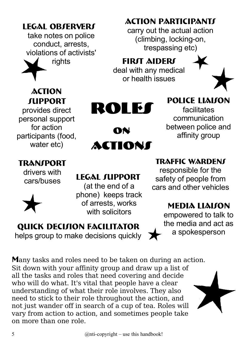### **LEGAL OBSERVERS**

take notes on police conduct, arrests, violations of activists' rights



### **Action SUPPORT**

provides direct personal support for action participants (food, water etc)

### **TRANSPORT**

drivers with



cars/buses **Legal Support**

Roles

on

Actions

(at the end of a phone) keeps track of arrests, works with solicitors

### **Quick Decision Facilitator**

helps group to make decisions quickly

**M**any tasks and roles need to be taken on during an action. Sit down with your affinity group and draw up a list of all the tasks and roles that need covering and decide who will do what. It's vital that people have a clear understanding of what their role involves. They also need to stick to their role throughout the action, and not just wander off in search of a cup of tea. Roles will vary from action to action, and sometimes people take on more than one role.

### **Action Participants**

carry out the actual action (climbing, locking-on, trespassing etc)

**First Aiders** deal with any medical or health issues



**Police Liaison**

facilitates communication between police and affinity group

### **Traffic Wardens**

responsible for the safety of people from cars and other vehicles

### **Media Liaison**

empowered to talk to the media and act as a spokesperson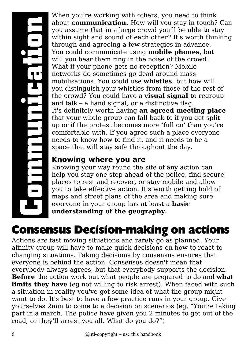# **Community**<br> **Community**<br> **Community**<br> **Community**<br> **Community**<br> **Community**<br> **Community**<br>
External<br> **Community**<br>
External<br>
External<br> **Community**<br>
External<br>
External<br>
External<br>
External<br>
External<br>
External<br>
External<br>
Exter **unic ation**

When you're working with others, you need to think about **communication.** How will you stay in touch? Can you assume that in a large crowd you'll be able to stay within sight and sound of each other? It's worth thinking through and agreeing a few strategies in advance. You could communicate using **mobile phones**, but will you hear them ring in the noise of the crowd? What if your phone gets no reception? Mobile networks do sometimes go dead around mass mobilisations. You could use **whistles**, but how will you distinguish your whistles from those of the rest of the crowd? You could have a **visual signal** to regroup and talk – a hand signal, or a distinctive flag. It's definitely worth having **an agreed meeting place** that your whole group can fall back to if you get split up or if the protest becomes more 'full on' than you're comfortable with. If you agree such a place everyone needs to know how to find it, and it needs to be a space that will stay safe throughout the day.

### **Knowing where you are**

Knowing your way round the site of any action can help you stay one step ahead of the police, find secure places to rest and recover, or stay mobile and allow you to take effective action. It's worth getting hold of maps and street plans of the area and making sure everyone in your group has at least a **basic understanding of the geography.**

### **Consensus Decision-making on actions**

Actions are fast moving situations and rarely go as planned. Your affinity group will have to make quick decisions on how to react to changing situations. Taking decisions by consensus ensures that everyone is behind the action. Consensus doesn't mean that everybody always agrees, but that everybody supports the decision. **Before** the action work out what people are prepared to do and **what limits they have** (eg not willing to risk arrest). When faced with such a situation in reality you've got some idea of what the group might want to do. It's best to have a few practice runs in your group. Give yourselves 2min to come to a decision on scenarios (eg. "You're taking part in a march. The police have given you 2 minutes to get out of the road, or they'll arrest you all. What do you do?")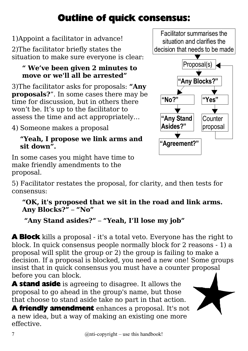### **Outline of quick consensus:**

1)Appoint a facilitator in advance!

2)The facilitator briefly states the situation to make sure everyone is clear:

### **" We've been given 2 minutes to move or we'll all be arrested"**

3)The facilitator asks for proposals: **"Any proposals?**". In some cases there may be time for discussion, but in others there won't be. It's up to the facilitator to assess the time and act appropriately…

4) Someone makes a proposal

### **"Yeah, I propose we link arms and sit down".**

In some cases you might have time to make friendly amendments to the proposal.

5) Facilitator restates the proposal, for clarity, and then tests for consensus:

### **"OK, it's proposed that we sit in the road and link arms. Any Blocks?"** – **"No"**

### **"Any Stand asides?"** – **"Yeah, I'll lose my job"**

**A Block** kills a proposal - it's a total veto. Everyone has the right to block. In quick consensus people normally block for 2 reasons - 1) a proposal will split the group or 2) the group is failing to make a decision. If a proposal is blocked, you need a new one! Some groups insist that in quick consensus you must have a counter proposal before you can block.

**A stand aside** is agreeing to disagree. It allows the proposal to go ahead in the group's name, but those that choose to stand aside take no part in that action.

**A friendly amendment** enhances a proposal. It's not a new idea, but a way of making an existing one more effective.

Facilitator summarises the situation and clarifies the decision that needs to be made

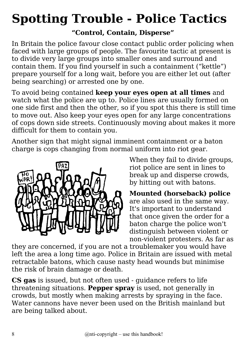# **Spotting Trouble - Police Tactics**

### **"Control, Contain, Disperse"**

In Britain the police favour close contact public order policing when faced with large groups of people. The favourite tactic at present is to divide very large groups into smaller ones and surround and contain them. If you find yourself in such a containment ("kettle") prepare yourself for a long wait, before you are either let out (after being searching) or arrested one by one.

To avoid being contained **keep your eyes open at all times** and watch what the police are up to. Police lines are usually formed on one side first and then the other, so if you spot this there is still time to move out. Also keep your eyes open for any large concentrations of cops down side streets. Continuously moving about makes it more difficult for them to contain you.

Another sign that might signal imminent containment or a baton charge is cops changing from normal uniform into riot gear.



When they fail to divide groups, riot police are sent in lines to break up and disperse crowds, by hitting out with batons.

**Mounted (horseback) police** are also used in the same way. It's important to understand that once given the order for a baton charge the police won't distinguish between violent or non-violent protesters. As far as

they are concerned, if you are not a troublemaker you would have left the area a long time ago. Police in Britain are issued with metal retractable batons, which cause nasty head wounds but minimise the risk of brain damage or death.

**CS gas** is issued, but not often used - guidance refers to life threatening situations. **Pepper spray** is used, not generally in crowds, but mostly when making arrests by spraying in the face. Water cannons have never been used on the British mainland but are being talked about.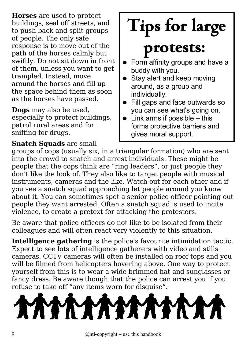**Horses** are used to protect buildings, seal off streets, and to push back and split groups of people. The only safe response is to move out of the path of the horses calmly but swiftly. Do not sit down in front of them, unless you want to get trampled. Instead, move around the horses and fill up the space behind them as soon as the horses have passed.

**Dogs** may also be used, especially to protect buildings, patrol rural areas and for sniffing for drugs.

# **Tips for large**

# **protests:**

- Form affinity groups and have a buddy with you.
- Stay alert and keep moving around, as a group and individually.
- Fill gaps and face outwards so you can see what's going on.
- Link arms if possible  $-$  this forms protective barriers and gives moral support.

**Snatch Squads** are small groups of cops (usually six, in a triangular formation) who are sent into the crowd to snatch and arrest individuals. These might be people that the cops think are "ring leaders", or just people they don't like the look of. They also like to target people with musical instruments, cameras and the like. Watch out for each other and if you see a snatch squad approaching let people around you know about it. You can sometimes spot a senior police officer pointing out people they want arrested. Often a snatch squad is used to incite violence, to create a pretext for attacking the protesters.

Be aware that police officers do not like to be isolated from their colleagues and will often react very violently to this situation.

**Intelligence gathering** is the police's favourite intimidation tactic. Expect to see lots of intelligence gatherers with video and stills cameras. CCTV cameras will often be installed on roof tops and you will be filmed from helicopters hovering above. One way to protect yourself from this is to wear a wide brimmed hat and sunglasses or fancy dress. Be aware though that the police can arrest you if you refuse to take off "any items worn for disguise".

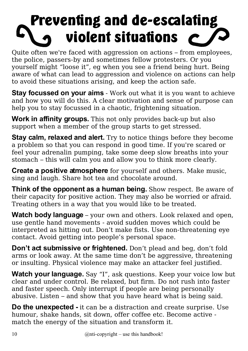# Preventing and de-escalating violent situations

Quite often we're faced with aggression on actions – from employees, the police, passers-by and sometimes fellow protesters. Or you yourself might "loose it", eg when you see a friend being hurt. Being aware of what can lead to aggression and violence on actions can help to avoid these situations arising, and keep the action safe.

**Stay focussed on your aims** - Work out what it is you want to achieve and how you will do this. A clear motivation and sense of purpose can help you to stay focussed in a chaotic, frightening situation.

**Work in affinity groups.** This not only provides back-up but also support when a member of the group starts to get stressed.

**Stay calm, relaxed and alert.** Try to notice things before they become a problem so that you can respond in good time. If you're scared or feel your adrenalin pumping, take some deep slow breaths into your stomach – this will calm you and allow you to think more clearly.

**Create a positive atmosphere** for yourself and others. Make music, sing and laugh. Share hot tea and chocolate around.

**Think of the opponent as a human being.** Show respect. Be aware of their capacity for positive action. They may also be worried or afraid. Treating others in a way that you would like to be treated.

**Watch body language** – your own and others. Look relaxed and open, use gentle hand movements - avoid sudden moves which could be interpreted as hitting out. Don't make fists. Use non-threatening eye contact. Avoid getting into people's personal space.

**Don't act submissive or frightened.** Don't plead and beg, don't fold arms or look away. At the same time don't be aggressive, threatening or insulting. Physical violence may make an attacker feel justified.

**Watch your language.** Say "I", ask questions. Keep your voice low but clear and under control. Be relaxed, but firm. Do not rush into faster and faster speech. Only interrupt if people are being personally abusive. Listen – and show that you have heard what is being said.

**Do the unexpected -** it can be a distraction and create surprise. Use humour, shake hands, sit down, offer coffee etc. Become active match the energy of the situation and transform it.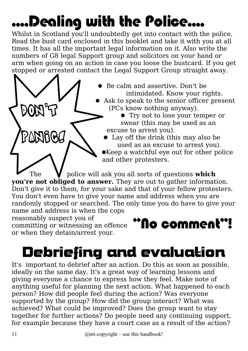# ....Dealing with the Police....

Whilst in Scotland you'll undoubtedly get into contact with the police. Read the bust card enclosed in this booklet and take it with you at all times. It has all the important legal information on it. Also write the numbers of G8 legal Support group and solicitors on your hand or arm when going on an action in case you loose the bustcard. If you get stopped or arrested contact the Legal Support Group straight away.



● Be calm and assertive. Don't be intimidated. Know your rights.

● Ask to speak to the senior officer present (PCs know nothing anyway).

● Try not to lose your temper or swear (this may be used as an excuse to arrest you).

● Lay off the drink (this may also be used as an excuse to arrest you). ●Keep a watchful eye out for other police and other protesters.

The **V** police will ask you all sorts of questions **which you're not obliged to answer.** They are out to gather information. Don't give it to them, for your sake and that of your fellow protesters. You don't even have to give your name and address when you are randomly stopped or searched. The only time you do have to give your name and address is when the cops

reasonably suspect you of

or when they detain/arrest your.

### reasonably suspect you of<br>committing or witnessing an offence **COMMEN!**

# Debriefing and evaluation

It's important to debrief after an action. Do this as soon as possible, ideally on the same day. It's a great way of learning lessons and giving everyone a chance to express how they feel. Make note of anything useful for planning the next action. What happened to each person? How did people feel during the action? Was everyone supported by the group? How did the group interact? What was achieved? What could be improved? Does the group want to stay together for further actions? Do people need any continuing support, for example because they have a court case as a result of the action?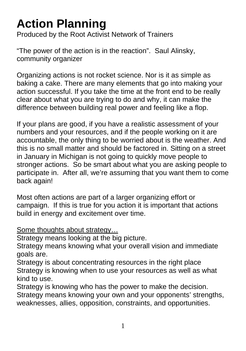### **Action Planning**

Produced by the Root Activist Network of Trainers

"The power of the action is in the reaction". Saul Alinsky, community organizer

Organizing actions is not rocket science. Nor is it as simple as baking a cake. There are many elements that go into making your action successful. If you take the time at the front end to be really clear about what you are trying to do and why, it can make the difference between building real power and feeling like a flop.

If your plans are good, if you have a realistic assessment of your numbers and your resources, and if the people working on it are accountable, the only thing to be worried about is the weather. And this is no small matter and should be factored in. Sitting on a street in January in Michigan is not going to quickly move people to stronger actions. So be smart about what you are asking people to participate in. After all, we're assuming that you want them to come back again!

Most often actions are part of a larger organizing effort or campaign. If this is true for you action it is important that actions build in energy and excitement over time.

### Some thoughts about strategy…

Strategy means looking at the big picture.

Strategy means knowing what your overall vision and immediate goals are.

Strategy is about concentrating resources in the right place Strategy is knowing when to use your resources as well as what kind to use.

Strategy is knowing who has the power to make the decision. Strategy means knowing your own and your opponents' strengths, weaknesses, allies, opposition, constraints, and opportunities.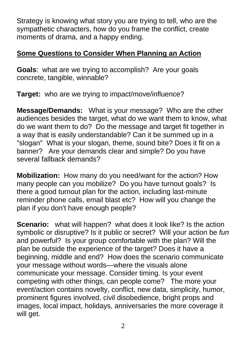Strategy is knowing what story you are trying to tell, who are the sympathetic characters, how do you frame the conflict, create moments of drama, and a happy ending.

### **Some Questions to Consider When Planning an Action**

**Goals**: what are we trying to accomplish? Are your goals concrete, tangible, winnable?

**Target:** who are we trying to impact/move/influence?

**Message/Demands:** What is your message? Who are the other audiences besides the target, what do we want them to know, what do we want them to do? Do the message and target fit together in a way that is easily understandable? Can it be summed up in a "slogan" What is your slogan, theme, sound bite? Does it fit on a banner? Are your demands clear and simple? Do you have several fallback demands?

**Mobilization:** How many do you need/want for the action? How many people can you mobilize? Do you have turnout goals? Is there a good turnout plan for the action, including last-minute reminder phone calls, email blast etc? How will you change the plan if you don't have enough people?

**Scenario:** what will happen? what does it look like? Is the action symbolic or disruptive? Is it public or secret? Will your action be *fun* and powerful? Is your group comfortable with the plan? Will the plan be outside the experience of the target? Does it have a beginning, middle and end? How does the scenario communicate your message without words—where the visuals alone communicate your message. Consider timing. Is your event competing with other things, can people come? The more your event/action contains novelty, conflict, new data, simplicity, humor, prominent figures involved, civil disobedience, bright props and images, local impact, holidays, anniversaries the more coverage it will get.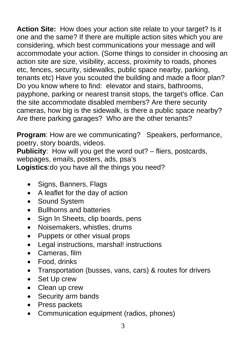**Action Site:** How does your action site relate to your target? Is it one and the same? If there are multiple action sites which you are considering, which best communications your message and will accommodate your action. (Some things to consider in choosing an action site are size, visibility, access, proximity to roads, phones etc, fences, security, sidewalks, public space nearby, parking, tenants etc) Have you scouted the building and made a floor plan? Do you know where to find: elevator and stairs, bathrooms, payphone, parking or nearest transit stops, the target's office. Can the site accommodate disabled members? Are there security cameras, how big is the sidewalk, is there a public space nearby? Are there parking garages? Who are the other tenants?

**Program**: How are we communicating? Speakers, performance, poetry, story boards, videos.

**Publicity:** How will you get the word out? – fliers, postcards, webpages, emails, posters, ads, psa's **Logistics**:do you have all the things you need?

- Signs, Banners, Flags
- A leaflet for the day of action
- Sound System
- Bullhorns and batteries
- Sign In Sheets, clip boards, pens
- Noisemakers, whistles, drums
- Puppets or other visual props
- Legal instructions, marshal! instructions
- Cameras, film
- Food, drinks
- Transportation (busses, vans, cars) & routes for drivers
- Set Up crew
- Clean up crew
- Security arm bands
- Press packets
- Communication equipment (radios, phones)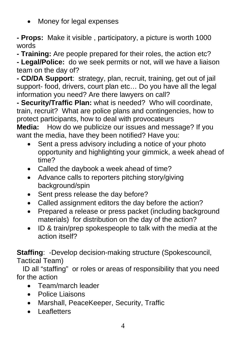• Money for legal expenses

**- Props:** Make it visible , participatory, a picture is worth 1000 words

**- Training:** Are people prepared for their roles, the action etc?

**- Legal/Police:** do we seek permits or not, will we have a liaison team on the day of?

**- CD/DA Support**: strategy, plan, recruit, training, get out of jail support- food, drivers, court plan etc… Do you have all the legal information you need? Are there lawyers on call?

**- Security/Traffic Plan:** what is needed? Who will coordinate, train, recruit? What are police plans and contingencies, how to protect participants, how to deal with provocateurs

**Media:** How do we publicize our issues and message? If you want the media, have they been notified? Have you:

- Sent a press advisory including a notice of your photo opportunity and highlighting your gimmick, a week ahead of time?
- Called the daybook a week ahead of time?
- Advance calls to reporters pitching story/giving background/spin
- Sent press release the day before?
- Called assignment editors the day before the action?
- Prepared a release or press packet (including background materials) for distribution on the day of the action?
- ID & train/prep spokespeople to talk with the media at the action itself?

**Staffing**: -Develop decision-making structure (Spokescouncil, Tactical Team)

 ID all "staffing" or roles or areas of responsibility that you need for the action

- Team/march leader
- Police Liaisons
- Marshall, PeaceKeeper, Security, Traffic
- Leafletters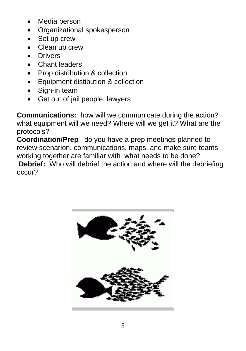- Media person
- Organizational spokesperson
- Set up crew
- Clean up crew
- Drivers
- Chant leaders
- Prop distribution & collection
- Equipment distibution & collection
- Sign-in team
- Get out of jail people, lawyers

**Communications:** how will we communicate during the action? what equipment will we need? Where will we get it? What are the protocols?

**Coordination/Prep**– do you have a prep meetings planned to review scenarion, communications, maps, and make sure teams working together are familiar with what needs to be done?

 **Debrief:** Who will debrief the action and where will the debriefing occur?

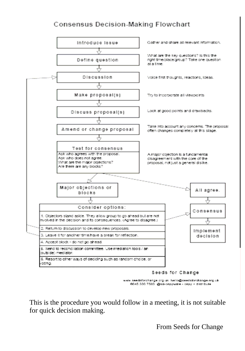### **Consensus Decision-Making Flowchart**



www.seedsforchange.org.uk\_hello@seedsforchange.org.uk 0045 330 7583 @nti-copywrite - copy + distribute

This is the procedure you would follow in a meeting, it is not suitable for quick decision making.

From Seeds for Change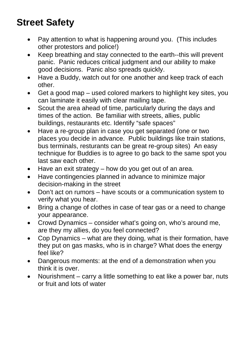### **Street Safety**

- Pay attention to what is happening around you. (This includes other protestors and police!)
- Keep breathing and stay connected to the earth--this will prevent panic. Panic reduces critical judgment and our ability to make good decisions. Panic also spreads quickly.
- Have a Buddy, watch out for one another and keep track of each other.
- Get a good map used colored markers to highlight key sites, you can laminate it easily with clear mailing tape.
- Scout the area ahead of time, particularly during the days and times of the action. Be familiar with streets, allies, public buildings, restaurants etc. Identify "safe spaces"
- Have a re-group plan in case you get separated (one or two places you decide in advance. Public buildings like train stations, bus terminals, resturants can be great re-group sites) An easy technique for Buddies is to agree to go back to the same spot you last saw each other.
- Have an exit strategy  $-$  how do you get out of an area.
- Have contingencies planned in advance to minimize major decision-making in the street
- Don't act on rumors have scouts or a communication system to verify what you hear.
- Bring a change of clothes in case of tear gas or a need to change your appearance.
- Crowd Dynamics consider what's going on, who's around me, are they my allies, do you feel connected?
- Cop Dynamics what are they doing, what is their formation, have they put on gas masks, who is in charge? What does the energy feel like?
- Dangerous moments: at the end of a demonstration when you think it is over.
- Nourishment carry a little something to eat like a power bar, nuts or fruit and lots of water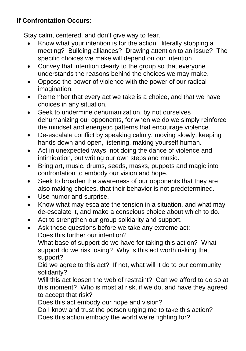### **If Confrontation Occurs:**

Stay calm, centered, and don't give way to fear.

- Know what your intention is for the action: literally stopping a meeting? Building alliances? Drawing attention to an issue? The specific choices we make will depend on our intention.
- Convey that intention clearly to the group so that everyone understands the reasons behind the choices we may make.
- Oppose the power of violence with the power of our radical imagination.
- Remember that every act we take is a choice, and that we have choices in any situation.
- Seek to undermine dehumanization, by not ourselves dehumanizing our opponents, for when we do we simply reinforce the mindset and energetic patterns that encourage violence.
- De-escalate conflict by speaking calmly, moving slowly, keeping hands down and open, listening, making yourself human.
- Act in unexpected ways, not doing the dance of violence and intimidation, but writing our own steps and music.
- Bring art, music, drums, seeds, masks, puppets and magic into confrontation to embody our vision and hope.
- Seek to broaden the awareness of our opponents that they are also making choices, that their behavior is not predetermined.
- Use humor and surprise.
- Know what may escalate the tension in a situation, and what may de-escalate it, and make a conscious choice about which to do.
- Act to strengthen our group solidarity and support.
- Ask these questions before we take any extreme act: Does this further our intention?

What base of support do we have for taking this action? What support do we risk losing? Why is this act worth risking that support?

Did we agree to this act? If not, what will it do to our community solidarity?

Will this act loosen the web of restraint? Can we afford to do so at this moment? Who is most at risk, if we do, and have they agreed to accept that risk?

Does this act embody our hope and vision?

Do I know and trust the person urging me to take this action? Does this action embody the world we're fighting for?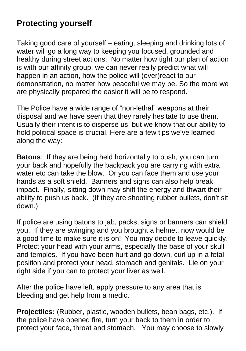### **Protecting yourself**

Taking good care of yourself – eating, sleeping and drinking lots of water will go a long way to keeping you focused, grounded and healthy during street actions. No matter how tight our plan of action is with our affinity group, we can never really predict what will happen in an action, how the police will (over)react to our demonstration, no matter how peaceful we may be. So the more we are physically prepared the easier it will be to respond.

The Police have a wide range of "non-lethal" weapons at their disposal and we have seen that they rarely hesitate to use them. Usually their intent is to disperse us, but we know that our ability to hold political space is crucial. Here are a few tips we've learned along the way:

**Batons:** If they are being held horizontally to push, you can turn your back and hopefully the backpack you are carrying with extra water etc can take the blow. Or you can face them and use your hands as a soft shield. Banners and signs can also help break impact. Finally, sitting down may shift the energy and thwart their ability to push us back. (If they are shooting rubber bullets, don't sit down.)

If police are using batons to jab, packs, signs or banners can shield you. If they are swinging and you brought a helmet, now would be a good time to make sure it is on! You may decide to leave quickly. Protect your head with your arms, especially the base of your skull and temples. If you have been hurt and go down, curl up in a fetal position and protect your head, stomach and genitals. Lie on your right side if you can to protect your liver as well.

After the police have left, apply pressure to any area that is bleeding and get help from a medic.

**Projectiles:** (Rubber, plastic, wooden bullets, bean bags, etc.). If the police have opened fire, turn your back to them in order to protect your face, throat and stomach. You may choose to slowly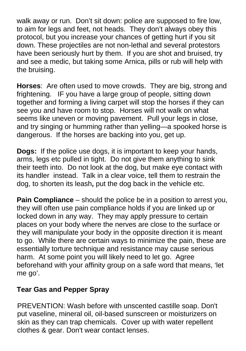walk away or run. Don't sit down: police are supposed to fire low, to aim for legs and feet, not heads. They don't always obey this protocol, but you increase your chances of getting hurt if you sit down. These projectiles are not non-lethal and several protestors have been seriously hurt by them. If you are shot and bruised, try and see a medic, but taking some Arnica, pills or rub will help with the bruising.

**Horses**: Are often used to move crowds. They are big, strong and frightening. IF you have a large group of people, sitting down together and forming a living carpet will stop the horses if they can see you and have room to stop. Horses will not walk on what seems like uneven or moving pavement. Pull your legs in close, and try singing or humming rather than yelling—a spooked horse is dangerous. If the horses are backing into you, get up.

**Dogs:** If the police use dogs, it is important to keep your hands, arms, legs etc pulled in tight. Do not give them anything to sink their teeth into. Do not look at the dog, but make eye contact with its handler instead. Talk in a clear voice, tell them to restrain the dog, to shorten its leash**,** put the dog back in the vehicle etc.

**Pain Compliance** – should the police be in a position to arrest you, they will often use pain compliance holds if you are linked up or locked down in any way. They may apply pressure to certain places on your body where the nerves are close to the surface or they will manipulate your body in the opposite direction it is meant to go. While there are certain ways to minimize the pain, these are essentially torture technique and resistance may cause serious harm. At some point you will likely need to let go. Agree beforehand with your affinity group on a safe word that means, 'let me go'.

### **Tear Gas and Pepper Spray**

PREVENTION: Wash before with unscented castille soap. Don't put vaseline, mineral oil, oil-based sunscreen or moisturizers on skin as they can trap chemicals. Cover up with water repellent clothes & gear. Don't wear contact lenses.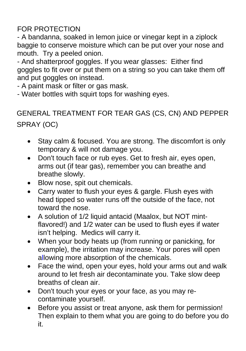### FOR PROTECTION

- A bandanna, soaked in lemon juice or vinegar kept in a ziplock baggie to conserve moisture which can be put over your nose and mouth. Try a peeled onion.

- And shatterproof goggles. If you wear glasses: Either find goggles to fit over or put them on a string so you can take them off and put goggles on instead.

- A paint mask or filter or gas mask.

- Water bottles with squirt tops for washing eyes.

### GENERAL TREATMENT FOR TEAR GAS (CS, CN) AND PEPPER SPRAY (OC)

- Stay calm & focused. You are strong. The discomfort is only temporary & will not damage you.
- Don't touch face or rub eyes. Get to fresh air, eyes open, arms out (if tear gas), remember you can breathe and breathe slowly.
- Blow nose, spit out chemicals.
- Carry water to flush your eyes & gargle. Flush eyes with head tipped so water runs off the outside of the face, not toward the nose.
- A solution of 1/2 liquid antacid (Maalox, but NOT mintflavored!) and 1/2 water can be used to flush eyes if water isn't helping. Medics will carry it.
- When your body heats up (from running or panicking, for example), the irritation may increase. Your pores will open allowing more absorption of the chemicals.
- Face the wind, open your eyes, hold your arms out and walk around to let fresh air decontaminate you. Take slow deep breaths of clean air.
- Don't touch your eyes or your face, as you may recontaminate yourself.
- Before you assist or treat anyone, ask them for permission! Then explain to them what you are going to do before you do it.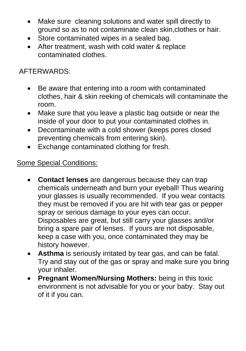- Make sure cleaning solutions and water spill directly to ground so as to not contaminate clean skin,clothes or hair.
- Store contaminated wipes in a sealed bag.
- After treatment, wash with cold water & replace contaminated clothes.

### AFTERWARDS:

- Be aware that entering into a room with contaminated clothes, hair & skin reeking of chemicals will contaminate the room.
- Make sure that you leave a plastic bag outside or near the inside of your door to put your contaminated clothes in.
- Decontaminate with a cold shower (keeps pores closed preventing chemicals from entering skin).
- Exchange contaminated clothing for fresh.

### Some Special Conditions:

- **Contact lenses** are dangerous because they can trap chemicals underneath and burn your eyeball! Thus wearing your glasses is usually recommended. If you wear contacts they must be removed if you are hit with tear gas or pepper spray or serious damage to your eyes can occur. Disposables are great, but still carry your glasses and/or bring a spare pair of lenses. If yours are not disposable, keep a case with you, once contaminated they may be history however.
- **Asthma** is seriously irritated by tear gas, and can be fatal. Try and stay out of the gas or spray and make sure you bring your inhaler.
- **Pregnant Women/Nursing Mothers:** being in this toxic environment is not advisable for you or your baby. Stay out of it if you can.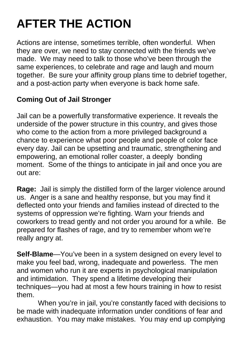### **AFTER THE ACTION**

Actions are intense, sometimes terrible, often wonderful. When they are over, we need to stay connected with the friends we've made. We may need to talk to those who've been through the same experiences, to celebrate and rage and laugh and mourn together. Be sure your affinity group plans time to debrief together, and a post-action party when everyone is back home safe.

### **Coming Out of Jail Stronger**

Jail can be a powerfully transformative experience. It reveals the underside of the power structure in this country, and gives those who come to the action from a more privileged background a chance to experience what poor people and people of color face every day. Jail can be upsetting and traumatic, strengthening and empowering, an emotional roller coaster, a deeply bonding moment. Some of the things to anticipate in jail and once you are out are:

**Rage:** Jail is simply the distilled form of the larger violence around us. Anger is a sane and healthy response, but you may find it deflected onto your friends and families instead of directed to the systems of oppression we're fighting. Warn your friends and coworkers to tread gently and not order you around for a while. Be prepared for flashes of rage, and try to remember whom we're really angry at.

**Self-Blame**—You've been in a system designed on every level to make you feel bad, wrong, inadequate and powerless. The men and women who run it are experts in psychological manipulation and intimidation. They spend a lifetime developing their techniques—you had at most a few hours training in how to resist them.

 When you're in jail, you're constantly faced with decisions to be made with inadequate information under conditions of fear and exhaustion. You may make mistakes. You may end up complying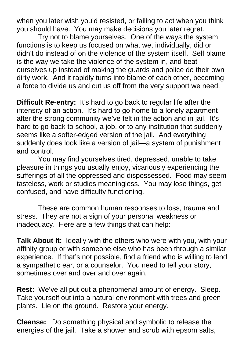when you later wish you'd resisted, or failing to act when you think you should have. You may make decisions you later regret.

 Try not to blame yourselves. One of the ways the system functions is to keep us focused on what we, individually, did or didn't do instead of on the violence of the system itself. Self blame is the way we take the violence of the system in, and beat ourselves up instead of making the guards and police do their own dirty work. And it rapidly turns into blame of each other, becoming a force to divide us and cut us off from the very support we need.

**Difficult Re-entry:** It's hard to go back to regular life after the intensity of an action. It's hard to go home to a lonely apartment after the strong community we've felt in the action and in jail. It's hard to go back to school, a job, or to any institution that suddenly seems like a softer-edged version of the jail. And everything suddenly does look like a version of jail—a system of punishment and control.

 You may find yourselves tired, depressed, unable to take pleasure in things you usually enjoy, vicariously experiencing the sufferings of all the oppressed and dispossessed. Food may seem tasteless, work or studies meaningless. You may lose things, get confused, and have difficulty functioning.

 These are common human responses to loss, trauma and stress. They are not a sign of your personal weakness or inadequacy. Here are a few things that can help:

**Talk About It:** Ideally with the others who were with you, with your affinity group or with someone else who has been through a similar experience. If that's not possible, find a friend who is willing to lend a sympathetic ear, or a counselor. You need to tell your story, sometimes over and over and over again.

**Rest:** We've all put out a phenomenal amount of energy. Sleep. Take yourself out into a natural environment with trees and green plants. Lie on the ground. Restore your energy.

**Cleanse:** Do something physical and symbolic to release the energies of the jail. Take a shower and scrub with epsom salts,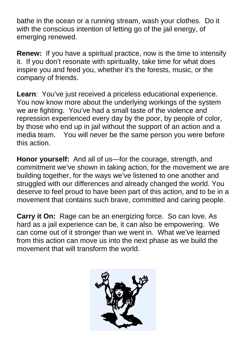bathe in the ocean or a running stream, wash your clothes. Do it with the conscious intention of letting go of the jail energy, of emerging renewed.

**Renew:** If you have a spiritual practice, now is the time to intensify it. If you don't resonate with spirituality, take time for what does inspire you and feed you, whether it's the forests, music, or the company of friends.

Learn: You've just received a priceless educational experience. You now know more about the underlying workings of the system we are fighting. You've had a small taste of the violence and repression experienced every day by the poor, by people of color, by those who end up in jail without the support of an action and a media team. You will never be the same person you were before this action.

**Honor yourself:** And all of us—for the courage, strength, and commitment we've shown in taking action, for the movement we are building together, for the ways we've listened to one another and struggled with our differences and already changed the world. You deserve to feel proud to have been part of this action, and to be in a movement that contains such brave, committed and caring people.

**Carry it On:** Rage can be an energizing force. So can love. As hard as a jail experience can be, it can also be empowering. We can come out of it stronger than we went in. What we've learned from this action can move us into the next phase as we build the movement that will transform the world.

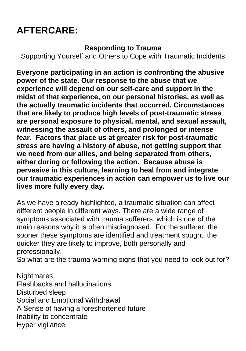### **AFTERCARE:**

### **Responding to Trauma**

Supporting Yourself and Others to Cope with Traumatic Incidents

**Everyone participating in an action is confronting the abusive power of the state. Our response to the abuse that we experience will depend on our self-care and support in the midst of that experience, on our personal histories, as well as the actually traumatic incidents that occurred. Circumstances that are likely to produce high levels of post-traumatic stress are personal exposure to physical, mental, and sexual assault, witnessing the assault of others, and prolonged or intense fear. Factors that place us at greater risk for post-traumatic stress are having a history of abuse, not getting support that we need from our allies, and being separated from others, either during or following the action. Because abuse is pervasive in this culture, learning to heal from and integrate our traumatic experiences in action can empower us to live our lives more fully every day.** 

As we have already highlighted, a traumatic situation can affect different people in different ways. There are a wide range of symptoms associated with trauma sufferers, which is one of the main reasons why it is often misdiagnosed. For the sufferer, the sooner these symptoms are identified and treatment sought, the quicker they are likely to improve, both personally and professionally.

So what are the trauma warning signs that you need to look out for?

**Nightmares** Flashbacks and hallucinations Disturbed sleep Social and Emotional Withdrawal A Sense of having a foreshortened future Inability to concentrate Hyper vigilance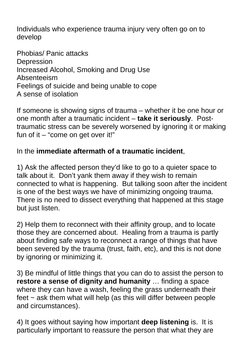Individuals who experience trauma injury very often go on to develop

Phobias/ Panic attacks Depression Increased Alcohol, Smoking and Drug Use Absenteeism Feelings of suicide and being unable to cope A sense of isolation

If someone is showing signs of trauma – whether it be one hour or one month after a traumatic incident – **take it seriously**. Posttraumatic stress can be severely worsened by ignoring it or making fun of it – "come on get over it!"

### In the **immediate aftermath of a traumatic incident**,

1) Ask the affected person they'd like to go to a quieter space to talk about it. Don't yank them away if they wish to remain connected to what is happening. But talking soon after the incident is one of the best ways we have of minimizing ongoing trauma. There is no need to dissect everything that happened at this stage but just listen.

2) Help them to reconnect with their affinity group, and to locate those they are concerned about. Healing from a trauma is partly about finding safe ways to reconnect a range of things that have been severed by the trauma (trust, faith, etc), and this is not done by ignoring or minimizing it.

3) Be mindful of little things that you can do to assist the person to **restore a sense of dignity and humanity** … finding a space where they can have a wash, feeling the grass underneath their feet  $\sim$  ask them what will help (as this will differ between people and circumstances).

4) It goes without saying how important **deep listening** is. It is particularly important to reassure the person that what they are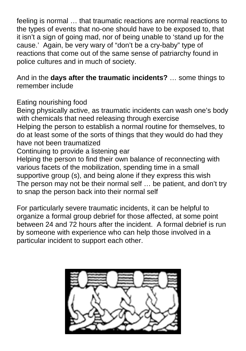feeling is normal … that traumatic reactions are normal reactions to the types of events that no-one should have to be exposed to, that it isn't a sign of going mad, nor of being unable to 'stand up for the cause.' Again, be very wary of "don't be a cry-baby" type of reactions that come out of the same sense of patriarchy found in police cultures and in much of society.

And in the **days after the traumatic incidents?** … some things to remember include

Eating nourishing food

Being physically active, as traumatic incidents can wash one's body with chemicals that need releasing through exercise Helping the person to establish a normal routine for themselves, to do at least some of the sorts of things that they would do had they have not been traumatized

Continuing to provide a listening ear

Helping the person to find their own balance of reconnecting with various facets of the mobilization, spending time in a small supportive group (s), and being alone if they express this wish The person may not be their normal self … be patient, and don't try to snap the person back into their normal self

For particularly severe traumatic incidents, it can be helpful to organize a formal group debrief for those affected, at some point between 24 and 72 hours after the incident. A formal debrief is run by someone with experience who can help those involved in a particular incident to support each other.

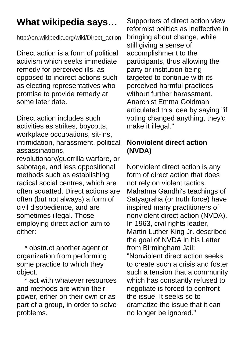### **What wikipedia says…**

http://en.wikipedia.org/wiki/Direct\_action

Direct action is a form of political activism which seeks immediate remedy for perceived ills, as opposed to indirect actions such as electing representatives who promise to provide remedy at some later date.

Direct action includes such activities as strikes, boycotts, workplace occupations, sit-ins, intimidation, harassment, political assassinations,

revolutionary/guerrilla warfare, or sabotage, and less oppositional methods such as establishing radical social centres, which are often squatted. Direct actions are often (but not always) a form of civil disobedience, and are sometimes illegal. Those employing direct action aim to either:

 \* obstruct another agent or organization from performing some practice to which they object.

 \* act with whatever resources and methods are within their power, either on their own or as part of a group, in order to solve problems.

Supporters of direct action view reformist politics as ineffective in bringing about change, while still giving a sense of accomplishment to the participants, thus allowing the party or institution being targeted to continue with its perceived harmful practices without further harassment. Anarchist Emma Goldman articulated this idea by saying "if voting changed anything, they'd make it illegal."

### **Nonviolent direct action (NVDA)**

Nonviolent direct action is any form of direct action that does not rely on violent tactics. Mahatma Gandhi's teachings of Satyagraha (or truth force) have inspired many practitioners of nonviolent direct action (NVDA). In 1963, civil rights leader, Martin Luther King Jr. described the goal of NVDA in his Letter from Birmingham Jail: "Nonviolent direct action seeks to create such a crisis and foster such a tension that a community which has constantly refused to negotiate is forced to confront the issue. It seeks so to dramatize the issue that it can no longer be ignored."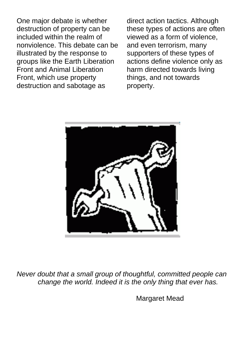One major debate is whether destruction of property can be included within the realm of nonviolence. This debate can be illustrated by the response to groups like the Earth Liberation Front and Animal Liberation Front, which use property destruction and sabotage as

direct action tactics. Although these types of actions are often viewed as a form of violence, and even terrorism, many supporters of these types of actions define violence only as harm directed towards living things, and not towards property.



*Never doubt that a small group of thoughtful, committed people can change the world. Indeed it is the only thing that ever has.* 

**Margaret Mead**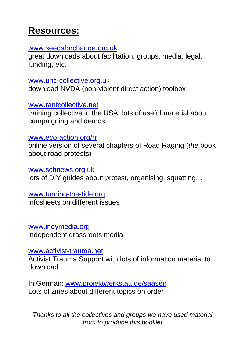### **Resources:**

#### [www.seedsforchange.org.uk](http://www.seedsforchange.org.uk/)

great downloads about facilitation, groups, media, legal, funding, etc.

[www.uhc-collective.org.uk](http://www.uhc-collective.org.uk/) download NVDA (non-violent direct action) toolbox

### [www.rantcollective.net](http://www.rantcollective.net/)

training collective in the USA, lots of useful material about campaigning and demos

### [www.eco-action.org/rr](http://www.eco-action.org/rr)

online version of several chapters of Road Raging (*the* book about road protests)

[www.schnews.org.uk](http://www.schnews.org.uk/) lots of DIY guides about protest, organising, squatting…

### [www.turning-the-tide.org](http://www.turning-the-tide.org/)

infosheets on different issues

[www.indymedia.org](http://www.indymedia.org/) independent grassroots media

### [www.activist-trauma.net](http://www.activist-trauma.net/)

Activist Trauma Support with lots of information material to download

In German: [www.projektwerkstatt.de/saasen](http://www.projektwerkstatt.de/saasen) Lots of zines about different topics on order

*Thanks to all the collectives and groups we have used material from to produce this booklet*